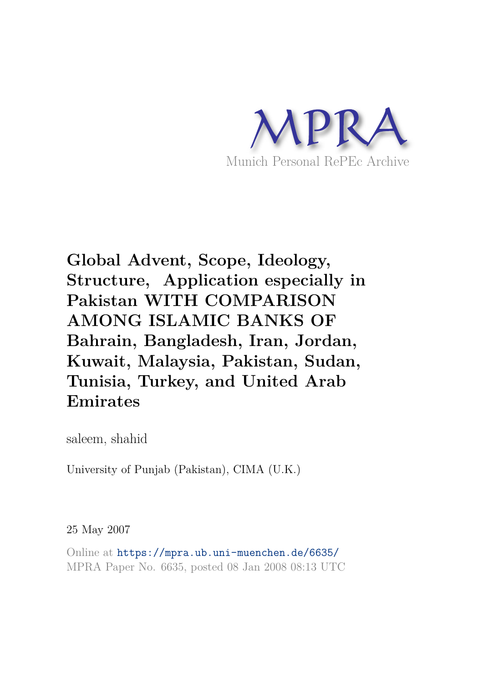

# **Global Advent, Scope, Ideology, Structure, Application especially in Pakistan WITH COMPARISON AMONG ISLAMIC BANKS OF Bahrain, Bangladesh, Iran, Jordan, Kuwait, Malaysia, Pakistan, Sudan, Tunisia, Turkey, and United Arab Emirates**

saleem, shahid

University of Punjab (Pakistan), CIMA (U.K.)

25 May 2007

Online at https://mpra.ub.uni-muenchen.de/6635/ MPRA Paper No. 6635, posted 08 Jan 2008 08:13 UTC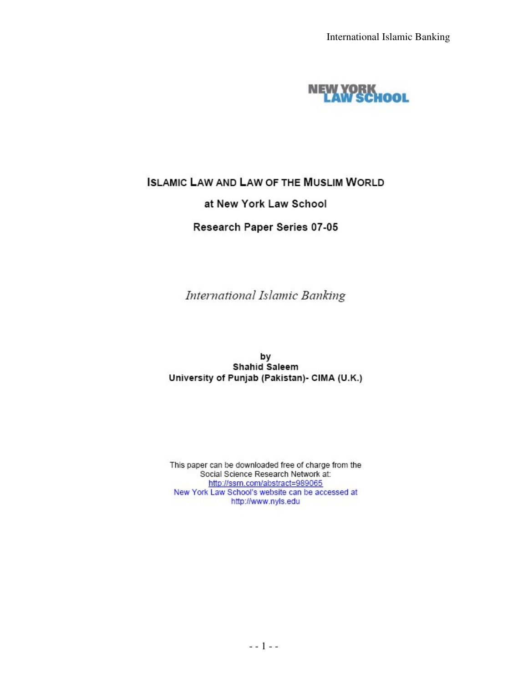

# **ISLAMIC LAW AND LAW OF THE MUSLIM WORLD** at New York Law School

#### Research Paper Series 07-05

International Islamic Banking

by Shahid Saleem University of Punjab (Pakistan)- CIMA (U.K.)

This paper can be downloaded free of charge from the Social Science Research Network at: http://ssrn.com/abstract=989065 New York Law School's website can be accessed at http://www.nyls.edu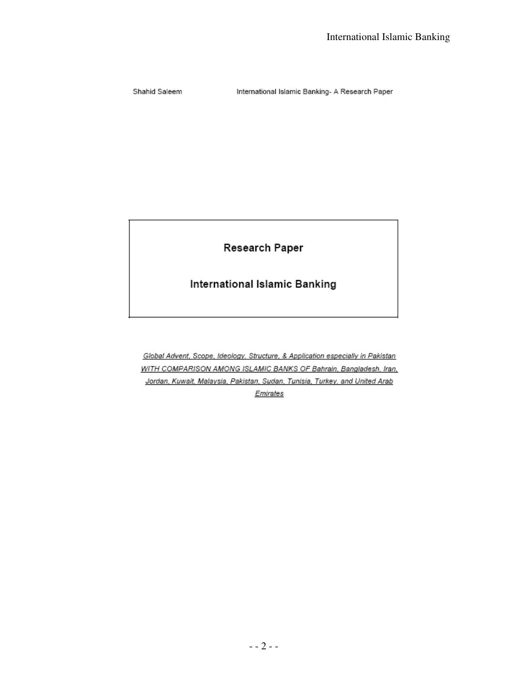Shahid Saleem

International Islamic Banking- A Research Paper

Research Paper

International Islamic Banking

Global Advent, Scope, Ideology, Structure, & Application especially in Pakistan WITH COMPARISON AMONG ISLAMIC BANKS OF Bahrain, Bangladesh, Iran, Jordan, Kuwait, Malaysia, Pakistan, Sudan, Tunisia, Turkey, and United Arab Emirates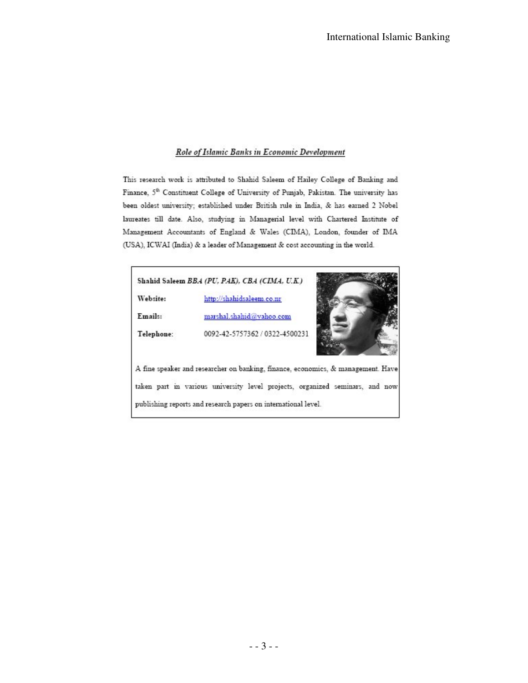#### Role of Islamic Banks in Economic Development

This research work is attributed to Shahid Saleem of Hailey College of Banking and Finance, 5<sup>th</sup> Constituent College of University of Punjab, Pakistan. The university has been oldest university; established under British rule in India, & has earned 2 Nobel laureates till date. Also, studying in Managerial level with Chartered Institute of Management Accountants of England & Wales (CIMA), London, founder of IMA (USA), ICWAI (India) & a leader of Management & cost accounting in the world.

#### Shahid Saleem BBA (PU, PAK), CBA (CIMA, U.K.) Website: http://shahidsaleem.co.nr Emails: marshal.shahid@yahoo.com 0092-42-5757362 / 0322-4500231 Telephone: A fine speaker and researcher on banking, finance, economics, & management. Have taken part in various university level projects, organized seminars, and now publishing reports and research papers on international level.